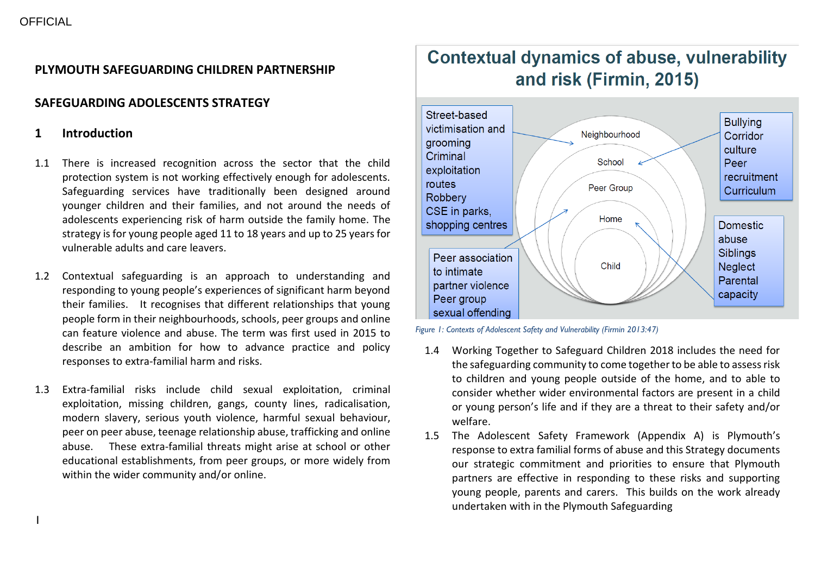## **PLYMOUTH SAFEGUARDING CHILDREN PARTNERSHIP**

## **SAFEGUARDING ADOLESCENTS STRATEGY**

## **1 Introduction**

- 1.1 There is increased recognition across the sector that the child protection system is not working effectively enough for adolescents. Safeguarding services have traditionally been designed around younger children and their families, and not around the needs of adolescents experiencing risk of harm outside the family home. The strategy is for young people aged 11 to 18 years and up to 25 years for vulnerable adults and care leavers.
- 1.2 Contextual safeguarding is an approach to understanding and responding to young people's experiences of significant harm beyond their families. It recognises that different relationships that young people form in their neighbourhoods, schools, peer groups and online can feature violence and abuse. The term was first used in 2015 to describe an ambition for how to advance practice and policy responses to extra-familial harm and risks.
- 1.3 Extra-familial risks include child sexual exploitation, criminal exploitation, missing children, gangs, county lines, radicalisation, modern slavery, serious youth violence, harmful sexual behaviour, peer on peer abuse, teenage relationship abuse, trafficking and online abuse. These extra-familial threats might arise at school or other educational establishments, from peer groups, or more widely from within the wider community and/or online.

# **Contextual dynamics of abuse, vulnerability** and risk (Firmin, 2015)



*Figure 1: Contexts of Adolescent Safety and Vulnerability (Firmin 2013:47)*

- 1.4 Working Together to Safeguard Children 2018 includes the need for the safeguarding community to come together to be able to assess risk to children and young people outside of the home, and to able to consider whether wider environmental factors are present in a child or young person's life and if they are a threat to their safety and/or welfare.
- 1.5 The Adolescent Safety Framework (Appendix A) is Plymouth's response to extra familial forms of abuse and this Strategy documents our strategic commitment and priorities to ensure that Plymouth partners are effective in responding to these risks and supporting young people, parents and carers. This builds on the work already undertaken with in the Plymouth Safeguarding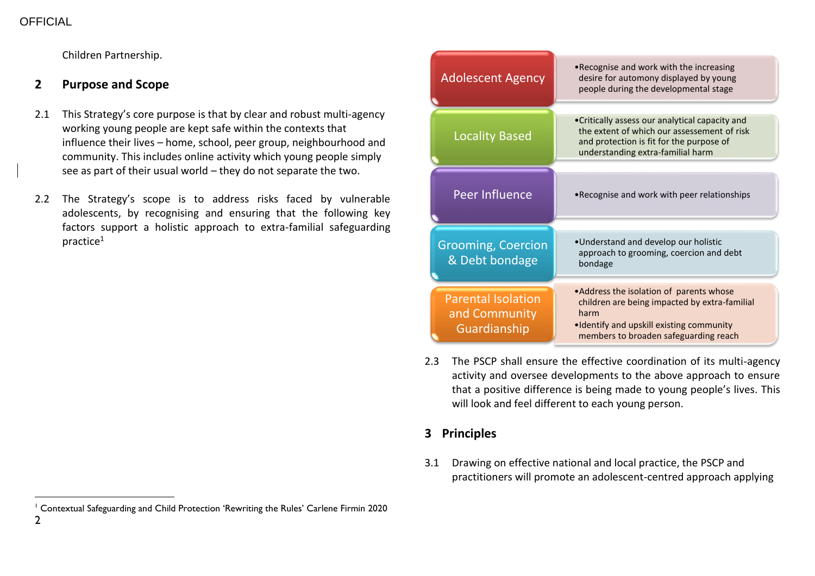Children Partnership.

## **2 Purpose and Scope**

- 2.1 This Strategy's core purpose is that by clear and robust multi-agency working young people are kept safe within the contexts that influence their lives – home, school, peer group, neighbourhood and community. This includes online activity which young people simply see as part of their usual world – they do not separate the two.
- 2.2 The Strategy's scope is to address risks faced by vulnerable adolescents, by recognising and ensuring that the following key factors support a holistic approach to extra-familial safeguarding practice<sup>1</sup>

| <b>Adolescent Agency</b>                                   | • Recognise and work with the increasing<br>desire for automony displayed by young<br>people during the developmental stage                                                             |
|------------------------------------------------------------|-----------------------------------------------------------------------------------------------------------------------------------------------------------------------------------------|
| <b>Locality Based</b>                                      | • Critically assess our analytical capacity and<br>the extent of which our assessement of risk<br>and protection is fit for the purpose of<br>understanding extra-familial harm         |
| Peer Influence                                             | • Recognise and work with peer relationships                                                                                                                                            |
| <b>Grooming, Coercion</b><br>& Debt bondage                | •Understand and develop our holistic<br>approach to grooming, coercion and debt<br>bondage                                                                                              |
| <b>Parental Isolation</b><br>and Community<br>Guardianship | • Address the isolation of parents whose<br>children are being impacted by extra-familial<br>harm<br>. Identify and upskill existing community<br>members to broaden safeguarding reach |

2.3 The PSCP shall ensure the effective coordination of its multi-agency activity and oversee developments to the above approach to ensure that a positive difference is being made to young people's lives. This will look and feel different to each young person.

## **3 Principles**

3.1 Drawing on effective national and local practice, the PSCP and practitioners will promote an adolescent-centred approach applying

<sup>1</sup> Contextual Safeguarding and Child Protection 'Rewriting the Rules' Carlene Firmin 2020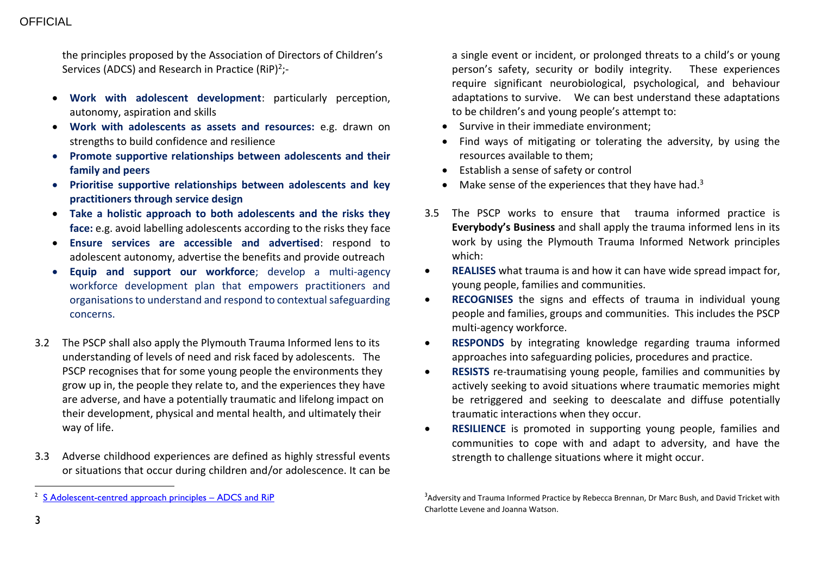the principles proposed by the Association of Directors of Children's Services (ADCS) and Research in Practice (RiP)<sup>2</sup>;-

- **Work with adolescent development**: particularly perception, autonomy, aspiration and skills
- **Work with adolescents as assets and resources:** e.g. drawn on strengths to build confidence and resilience
- **Promote supportive relationships between adolescents and their family and peers**
- **Prioritise supportive relationships between adolescents and key practitioners through service design**
- **Take a holistic approach to both adolescents and the risks they face:** e.g. avoid labelling adolescents according to the risks they face
- **Ensure services are accessible and advertised**: respond to adolescent autonomy, advertise the benefits and provide outreach
- **Equip and support our workforce**; develop a multi-agency workforce development plan that empowers practitioners and organisations to understand and respond to contextual safeguarding concerns.
- 3.2 The PSCP shall also apply the Plymouth Trauma Informed lens to its understanding of levels of need and risk faced by adolescents. The PSCP recognises that for some young people the environments they grow up in, the people they relate to, and the experiences they have are adverse, and have a potentially traumatic and lifelong impact on their development, physical and mental health, and ultimately their way of life.
- 3.3 Adverse childhood experiences are defined as highly stressful events or situations that occur during children and/or adolescence. It can be

a single event or incident, or prolonged threats to a child's or young person's safety, security or bodily integrity. These experiences require significant neurobiological, psychological, and behaviour adaptations to survive. We can best understand these adaptations to be children's and young people's attempt to:

- Survive in their immediate environment:
- Find ways of mitigating or tolerating the adversity, by using the resources available to them;
- Establish a sense of safety or control
- $\bullet$  Make sense of the experiences that they have had.<sup>3</sup>
- 3.5 The PSCP works to ensure that trauma informed practice is **Everybody's Business** and shall apply the trauma informed lens in its work by using the Plymouth Trauma Informed Network principles which:
- **REALISES** what trauma is and how it can have wide spread impact for, young people, families and communities.
- **RECOGNISES** the signs and effects of trauma in individual young people and families, groups and communities. This includes the PSCP multi-agency workforce.
- **RESPONDS** by integrating knowledge regarding trauma informed approaches into safeguarding policies, procedures and practice.
- **RESISTS** re-traumatising young people, families and communities by actively seeking to avoid situations where traumatic memories might be retriggered and seeking to deescalate and diffuse potentially traumatic interactions when they occur.
- **RESILIENCE** is promoted in supporting young people, families and communities to cope with and adapt to adversity, and have the strength to challenge situations where it might occur.

<sup>&</sup>lt;sup>2</sup> S [Adolescent-centred approach principles](https://adcs.org.uk/assets/documentation/AC19_TSafeguarding.pdf) – ADCS and RiP

<sup>&</sup>lt;sup>3</sup>Adversity and Trauma Informed Practice by Rebecca Brennan, Dr Marc Bush, and David Tricket with Charlotte Levene and Joanna Watson.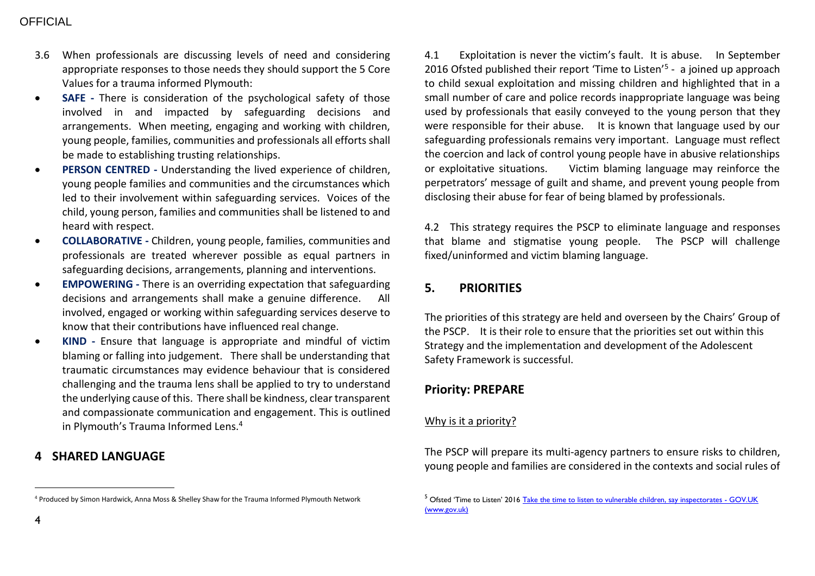## **OFFICIAL**

- 3.6 When professionals are discussing levels of need and considering appropriate responses to those needs they should support the 5 Core Values for a trauma informed Plymouth:
- **SAFE -** There is consideration of the psychological safety of those involved in and impacted by safeguarding decisions and arrangements. When meeting, engaging and working with children, young people, families, communities and professionals all efforts shall be made to establishing trusting relationships.
- **PERSON CENTRED -** Understanding the lived experience of children, young people families and communities and the circumstances which led to their involvement within safeguarding services. Voices of the child, young person, families and communities shall be listened to and heard with respect.
- **COLLABORATIVE -** Children, young people, families, communities and professionals are treated wherever possible as equal partners in safeguarding decisions, arrangements, planning and interventions.
- **EMPOWERING -** There is an overriding expectation that safeguarding decisions and arrangements shall make a genuine difference. All involved, engaged or working within safeguarding services deserve to know that their contributions have influenced real change.
- **KIND -** Ensure that language is appropriate and mindful of victim blaming or falling into judgement. There shall be understanding that traumatic circumstances may evidence behaviour that is considered challenging and the trauma lens shall be applied to try to understand the underlying cause of this. There shall be kindness, clear transparent and compassionate communication and engagement. This is outlined in Plymouth's Trauma Informed Lens.<sup>4</sup>

## **4 SHARED LANGUAGE**

4.1 Exploitation is never the victim's fault. It is abuse. In September 2016 Ofsted published their report 'Time to Listen'<sup>5</sup> - a joined up approach to child sexual exploitation and missing children and highlighted that in a small number of care and police records inappropriate language was being used by professionals that easily conveyed to the young person that they were responsible for their abuse. It is known that language used by our safeguarding professionals remains very important. Language must reflect the coercion and lack of control young people have in abusive relationships or exploitative situations. Victim blaming language may reinforce the perpetrators' message of guilt and shame, and prevent young people from disclosing their abuse for fear of being blamed by professionals.

4.2 This strategy requires the PSCP to eliminate language and responses that blame and stigmatise young people. The PSCP will challenge fixed/uninformed and victim blaming language.

## **5. PRIORITIES**

The priorities of this strategy are held and overseen by the Chairs' Group of the PSCP. It is their role to ensure that the priorities set out within this Strategy and the implementation and development of the Adolescent Safety Framework is successful.

## **Priority: PREPARE**

## Why is it a priority?

The PSCP will prepare its multi-agency partners to ensure risks to children, young people and families are considered in the contexts and social rules of

<sup>4</sup> Produced by Simon Hardwick, Anna Moss & Shelley Shaw for the Trauma Informed Plymouth Network

<sup>&</sup>lt;sup>5</sup> Ofsted 'Time to Listen' 2016 [Take the time to listen to vulnerable children, say inspectorates -](https://www.gov.uk/government/news/take-the-time-to-listen-to-vulnerable-children-say-inspectorates) GOV.UK [\(www.gov.uk\)](https://www.gov.uk/government/news/take-the-time-to-listen-to-vulnerable-children-say-inspectorates)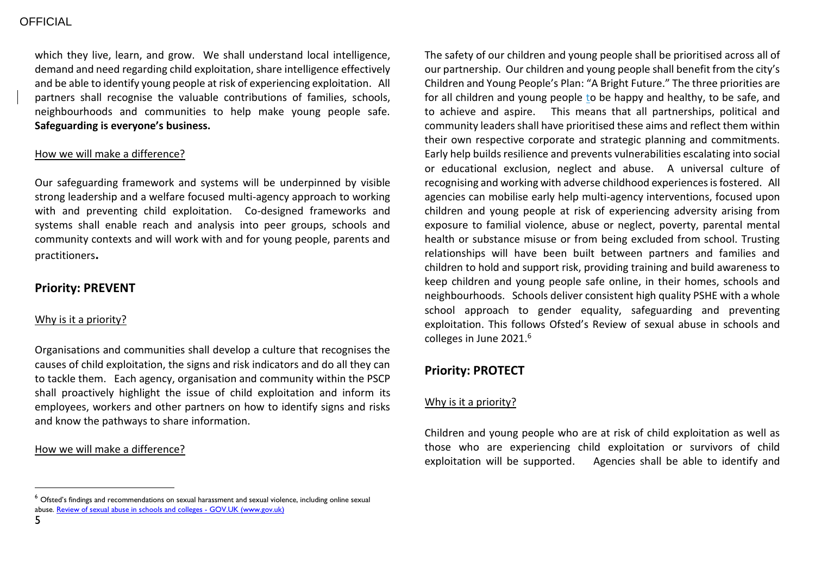which they live, learn, and grow. We shall understand local intelligence, demand and need regarding child exploitation, share intelligence effectively and be able to identify young people at risk of experiencing exploitation. All partners shall recognise the valuable contributions of families, schools, neighbourhoods and communities to help make young people safe. **Safeguarding is everyone's business.**

#### How we will make a difference?

Our safeguarding framework and systems will be underpinned by visible strong leadership and a welfare focused multi-agency approach to working with and preventing child exploitation. Co-designed frameworks and systems shall enable reach and analysis into peer groups, schools and community contexts and will work with and for young people, parents and practitioners**.** 

### **Priority: PREVENT**

#### Why is it a priority?

Organisations and communities shall develop a culture that recognises the causes of child exploitation, the signs and risk indicators and do all they can to tackle them. Each agency, organisation and community within the PSCP shall proactively highlight the issue of child exploitation and inform its employees, workers and other partners on how to identify signs and risks and know the pathways to share information.

#### How we will make a difference?

The safety of our children and young people shall be prioritised across all of our partnership. Our children and young people shall benefit from the city's Children and Young People's Plan: "A Bright Future." The three priorities are for all children and young people to be happy and healthy, to be safe, and to achieve and aspire. This means that all partnerships, political and community leaders shall have prioritised these aims and reflect them within their own respective corporate and strategic planning and commitments. Early help builds resilience and prevents vulnerabilities escalating into social or educational exclusion, neglect and abuse. A universal culture of recognising and working with adverse childhood experiences is fostered. All agencies can mobilise early help multi-agency interventions, focused upon children and young people at risk of experiencing adversity arising from exposure to familial violence, abuse or neglect, poverty, parental mental health or substance misuse or from being excluded from school. Trusting relationships will have been built between partners and families and children to hold and support risk, providing training and build awareness to keep children and young people safe online, in their homes, schools and neighbourhoods. Schools deliver consistent high quality PSHE with a whole school approach to gender equality, safeguarding and preventing exploitation. This follows Ofsted's Review of sexual abuse in schools and colleges in June 2021.<sup>6</sup>

## **Priority: PROTECT**

#### Why is it a priority?

Children and young people who are at risk of child exploitation as well as those who are experiencing child exploitation or survivors of child exploitation will be supported. Agencies shall be able to identify and

<sup>&</sup>lt;sup>6</sup> Ofsted's findings and recommendations on sexual harassment and sexual violence, including online sexual abuse[. Review of sexual abuse in schools and colleges -](https://www.gov.uk/government/publications/review-of-sexual-abuse-in-schools-and-colleges) GOV.UK (www.gov.uk)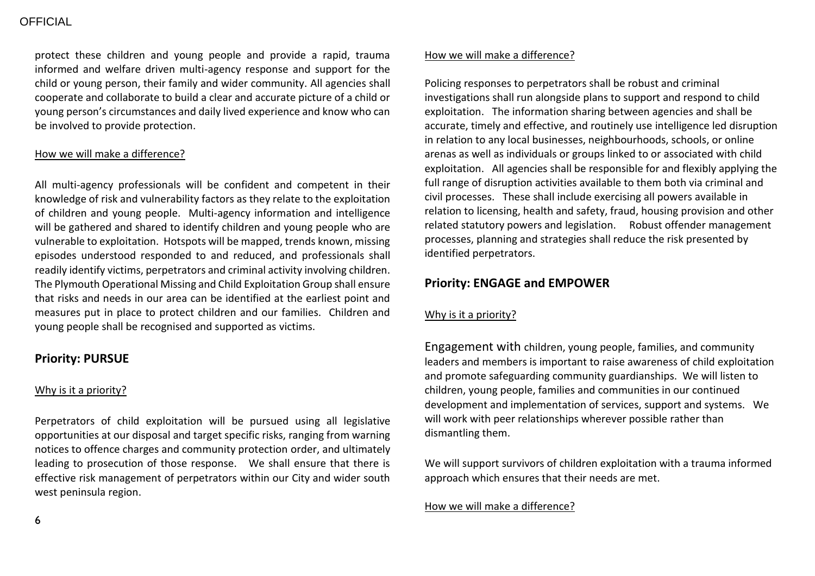protect these children and young people and provide a rapid, trauma informed and welfare driven multi-agency response and support for the child or young person, their family and wider community. All agencies shall cooperate and collaborate to build a clear and accurate picture of a child or young person's circumstances and daily lived experience and know who can be involved to provide protection.

#### How we will make a difference?

All multi-agency professionals will be confident and competent in their knowledge of risk and vulnerability factors as they relate to the exploitation of children and young people. Multi-agency information and intelligence will be gathered and shared to identify children and young people who are vulnerable to exploitation. Hotspots will be mapped, trends known, missing episodes understood responded to and reduced, and professionals shall readily identify victims, perpetrators and criminal activity involving children. The Plymouth Operational Missing and Child Exploitation Group shall ensure that risks and needs in our area can be identified at the earliest point and measures put in place to protect children and our families. Children and young people shall be recognised and supported as victims.

### **Priority: PURSUE**

#### Why is it a priority?

Perpetrators of child exploitation will be pursued using all legislative opportunities at our disposal and target specific risks, ranging from warning notices to offence charges and community protection order, and ultimately leading to prosecution of those response. We shall ensure that there is effective risk management of perpetrators within our City and wider south west peninsula region.

#### How we will make a difference?

Policing responses to perpetrators shall be robust and criminal investigations shall run alongside plans to support and respond to child exploitation. The information sharing between agencies and shall be accurate, timely and effective, and routinely use intelligence led disruption in relation to any local businesses, neighbourhoods, schools, or online arenas as well as individuals or groups linked to or associated with child exploitation. All agencies shall be responsible for and flexibly applying the full range of disruption activities available to them both via criminal and civil processes. These shall include exercising all powers available in relation to licensing, health and safety, fraud, housing provision and other related statutory powers and legislation. Robust offender management processes, planning and strategies shall reduce the risk presented by identified perpetrators.

## **Priority: ENGAGE and EMPOWER**

## Why is it a priority?

Engagement with children, young people, families, and community leaders and members is important to raise awareness of child exploitation and promote safeguarding community guardianships. We will listen to children, young people, families and communities in our continued development and implementation of services, support and systems. We will work with peer relationships wherever possible rather than dismantling them.

We will support survivors of children exploitation with a trauma informed approach which ensures that their needs are met.

#### How we will make a difference?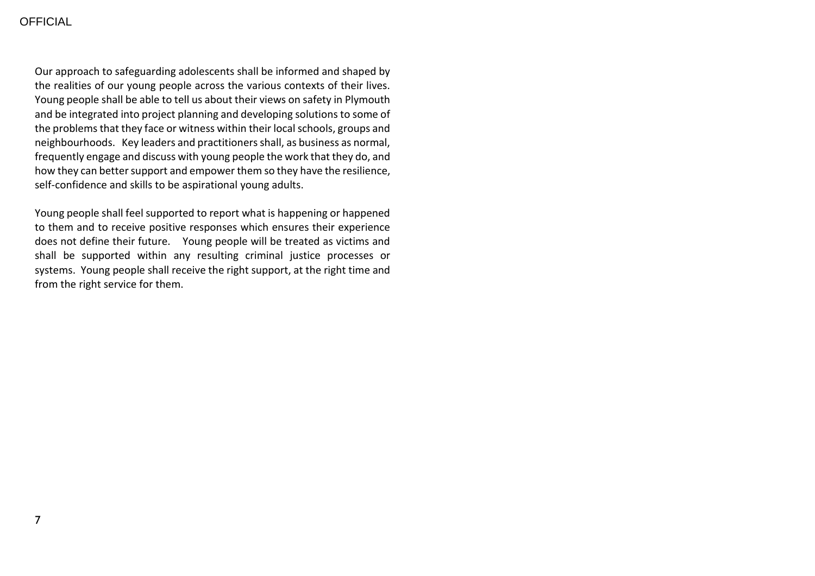## **OFFICIAL**

Our approach to safeguarding adolescents shall be informed and shaped by the realities of our young people across the various contexts of their lives. Young people shall be able to tell us about their views on safety in Plymouth and be integrated into project planning and developing solutions to some of the problems that they face or witness within their local schools, groups and neighbourhoods. Key leaders and practitioners shall, as business as normal, frequently engage and discuss with young people the work that they do, and how they can better support and empower them so they have the resilience, self-confidence and skills to be aspirational young adults.

Young people shall feel supported to report what is happening or happened to them and to receive positive responses which ensures their experience does not define their future. Young people will be treated as victims and shall be supported within any resulting criminal justice processes or systems. Young people shall receive the right support, at the right time and from the right service for them.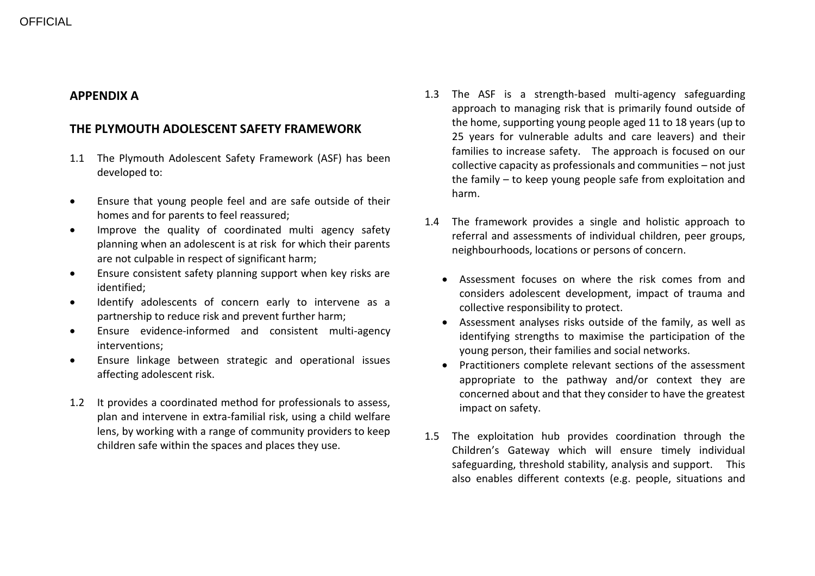## **APPENDIX A**

## **THE PLYMOUTH ADOLESCENT SAFETY FRAMEWORK**

- 1.1 The Plymouth Adolescent Safety Framework (ASF) has been developed to:
- Ensure that young people feel and are safe outside of their homes and for parents to feel reassured;
- Improve the quality of coordinated multi agency safety planning when an adolescent is at risk for which their parents are not culpable in respect of significant harm;
- Ensure consistent safety planning support when key risks are identified;
- Identify adolescents of concern early to intervene as a partnership to reduce risk and prevent further harm;
- Ensure evidence-informed and consistent multi-agency interventions;
- Ensure linkage between strategic and operational issues affecting adolescent risk.
- 1.2 It provides a coordinated method for professionals to assess, plan and intervene in extra-familial risk, using a child welfare lens, by working with a range of community providers to keep children safe within the spaces and places they use.
- 1.3 The ASF is a strength-based multi-agency safeguarding approach to managing risk that is primarily found outside of the home, supporting young people aged 11 to 18 years (up to 25 years for vulnerable adults and care leavers) and their families to increase safety. The approach is focused on our collective capacity as professionals and communities – not just the family – to keep young people safe from exploitation and harm.
- 1.4 The framework provides a single and holistic approach to referral and assessments of individual children, peer groups, neighbourhoods, locations or persons of concern.
	- Assessment focuses on where the risk comes from and considers adolescent development, impact of trauma and collective responsibility to protect.
	- Assessment analyses risks outside of the family, as well as identifying strengths to maximise the participation of the young person, their families and social networks.
	- Practitioners complete relevant sections of the assessment appropriate to the pathway and/or context they are concerned about and that they consider to have the greatest impact on safety.
- 1.5 The exploitation hub provides coordination through the Children's Gateway which will ensure timely individual safeguarding, threshold stability, analysis and support. This also enables different contexts (e.g. people, situations and